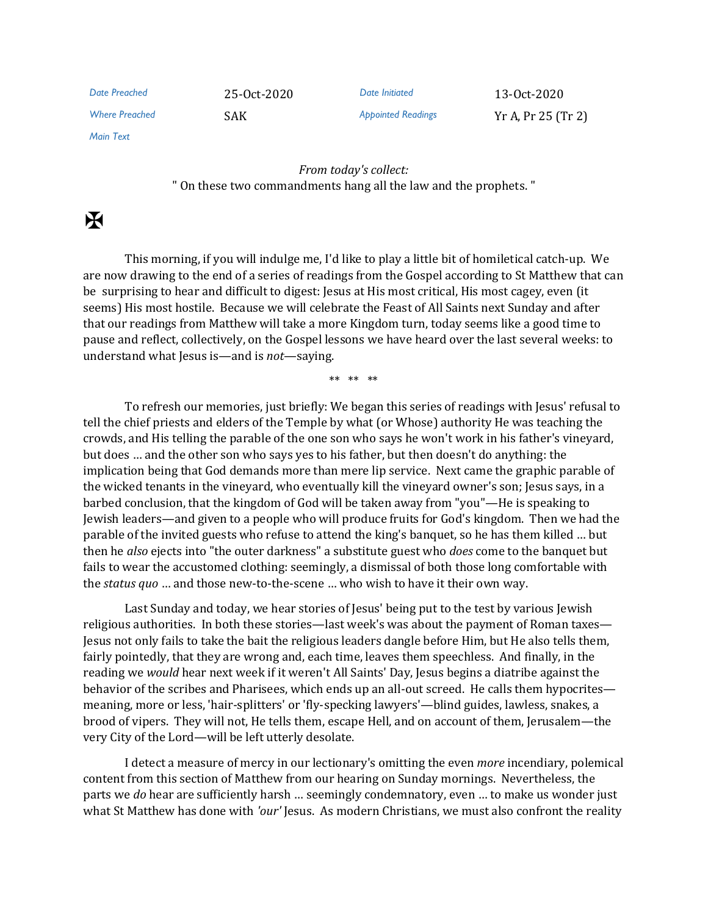| Date Preached         | 25-0ct-2020 | Date Initiated            | 13-0ct-2020        |
|-----------------------|-------------|---------------------------|--------------------|
| <b>Where Preached</b> | SAK         | <b>Appointed Readings</b> | Yr A, Pr 25 (Tr 2) |

*Main Text*

*From today's collect:* " On these two commandments hang all the law and the prophets. "

 $\overline{\mathbf{X}}$ 

This morning, if you will indulge me, I'd like to play a little bit of homiletical catch-up. We are now drawing to the end of a series of readings from the Gospel according to St Matthew that can be surprising to hear and difficult to digest: Jesus at His most critical, His most cagey, even (it seems) His most hostile. Because we will celebrate the Feast of All Saints next Sunday and after that our readings from Matthew will take a more Kingdom turn, today seems like a good time to pause and reflect, collectively, on the Gospel lessons we have heard over the last several weeks: to understand what Jesus is—and is *not*—saying.

\*\* \*\* \*\*

To refresh our memories, just briefly: We began this series of readings with Jesus' refusal to tell the chief priests and elders of the Temple by what (or Whose) authority He was teaching the crowds, and His telling the parable of the one son who says he won't work in his father's vineyard, but does … and the other son who says yes to his father, but then doesn't do anything: the implication being that God demands more than mere lip service. Next came the graphic parable of the wicked tenants in the vineyard, who eventually kill the vineyard owner's son; Jesus says, in a barbed conclusion, that the kingdom of God will be taken away from "you"—He is speaking to Jewish leaders—and given to a people who will produce fruits for God's kingdom. Then we had the parable of the invited guests who refuse to attend the king's banquet, so he has them killed … but then he *also* ejects into "the outer darkness" a substitute guest who *does* come to the banquet but fails to wear the accustomed clothing: seemingly, a dismissal of both those long comfortable with the *status quo* … and those new-to-the-scene … who wish to have it their own way.

Last Sunday and today, we hear stories of Jesus' being put to the test by various Jewish religious authorities. In both these stories—last week's was about the payment of Roman taxes— Jesus not only fails to take the bait the religious leaders dangle before Him, but He also tells them, fairly pointedly, that they are wrong and, each time, leaves them speechless. And finally, in the reading we *would* hear next week if it weren't All Saints' Day, Jesus begins a diatribe against the behavior of the scribes and Pharisees, which ends up an all-out screed. He calls them hypocrites meaning, more or less, 'hair-splitters' or 'fly-specking lawyers'—blind guides, lawless, snakes, a brood of vipers. They will not, He tells them, escape Hell, and on account of them, Jerusalem—the very City of the Lord—will be left utterly desolate.

I detect a measure of mercy in our lectionary's omitting the even *more* incendiary, polemical content from this section of Matthew from our hearing on Sunday mornings. Nevertheless, the parts we *do* hear are sufficiently harsh … seemingly condemnatory, even … to make us wonder just what St Matthew has done with *'our'* Jesus. As modern Christians, we must also confront the reality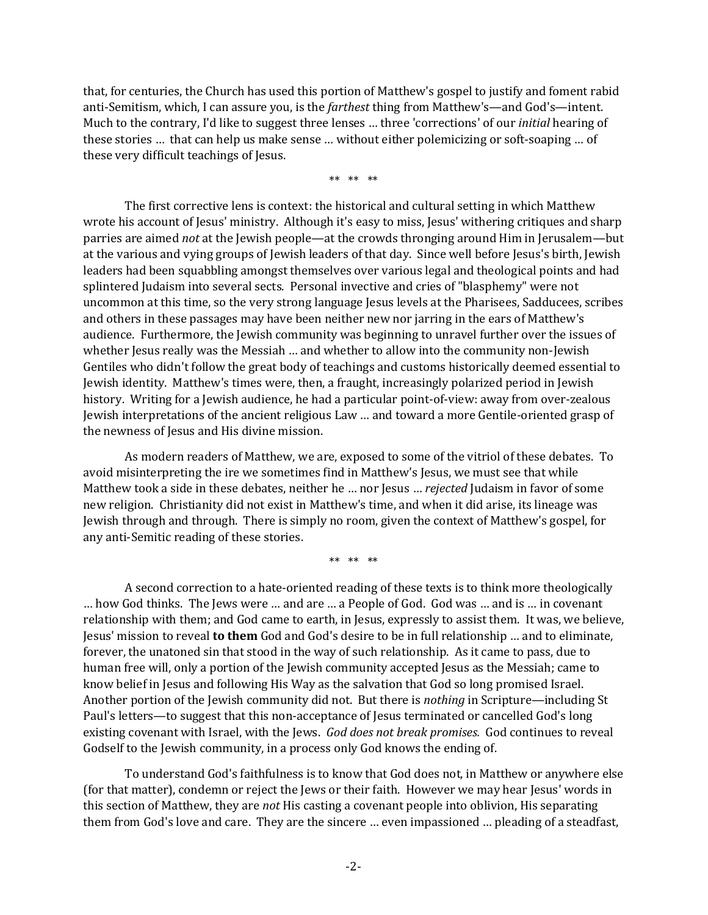that, for centuries, the Church has used this portion of Matthew's gospel to justify and foment rabid anti-Semitism, which, I can assure you, is the *farthest* thing from Matthew's—and God's—intent. Much to the contrary, I'd like to suggest three lenses … three 'corrections' of our *initial* hearing of these stories … that can help us make sense … without either polemicizing or soft-soaping … of these very difficult teachings of Jesus.

\*\* \*\* \*\*

The first corrective lens is context: the historical and cultural setting in which Matthew wrote his account of Jesus' ministry. Although it's easy to miss, Jesus' withering critiques and sharp parries are aimed *not* at the Jewish people—at the crowds thronging around Him in Jerusalem—but at the various and vying groups of Jewish leaders of that day. Since well before Jesus's birth, Jewish leaders had been squabbling amongst themselves over various legal and theological points and had splintered Judaism into several sects. Personal invective and cries of "blasphemy" were not uncommon at this time, so the very strong language Jesus levels at the Pharisees, Sadducees, scribes and others in these passages may have been neither new nor jarring in the ears of Matthew's audience. Furthermore, the Jewish community was beginning to unravel further over the issues of whether Jesus really was the Messiah ... and whether to allow into the community non-Jewish Gentiles who didn't follow the great body of teachings and customs historically deemed essential to Jewish identity. Matthew's times were, then, a fraught, increasingly polarized period in Jewish history. Writing for a Jewish audience, he had a particular point-of-view: away from over-zealous Jewish interpretations of the ancient religious Law … and toward a more Gentile-oriented grasp of the newness of Jesus and His divine mission.

As modern readers of Matthew, we are, exposed to some of the vitriol of these debates. To avoid misinterpreting the ire we sometimes find in Matthew's Jesus, we must see that while Matthew took a side in these debates, neither he … nor Jesus … *rejected* Judaism in favor of some new religion. Christianity did not exist in Matthew's time, and when it did arise, its lineage was Jewish through and through. There is simply no room, given the context of Matthew's gospel, for any anti-Semitic reading of these stories.

\*\* \*\* \*\*

A second correction to a hate-oriented reading of these texts is to think more theologically … how God thinks. The Jews were … and are … a People of God. God was … and is … in covenant relationship with them; and God came to earth, in Jesus, expressly to assist them. It was, we believe, Jesus' mission to reveal **to them** God and God's desire to be in full relationship … and to eliminate, forever, the unatoned sin that stood in the way of such relationship. As it came to pass, due to human free will, only a portion of the Jewish community accepted Jesus as the Messiah; came to know belief in Jesus and following His Way as the salvation that God so long promised Israel. Another portion of the Jewish community did not. But there is *nothing* in Scripture—including St Paul's letters—to suggest that this non-acceptance of Jesus terminated or cancelled God's long existing covenant with Israel, with the Jews. *God does not break promises.* God continues to reveal Godself to the Jewish community, in a process only God knows the ending of.

To understand God's faithfulness is to know that God does not, in Matthew or anywhere else (for that matter), condemn or reject the Jews or their faith. However we may hear Jesus' words in this section of Matthew, they are *not* His casting a covenant people into oblivion, His separating them from God's love and care. They are the sincere … even impassioned … pleading of a steadfast,